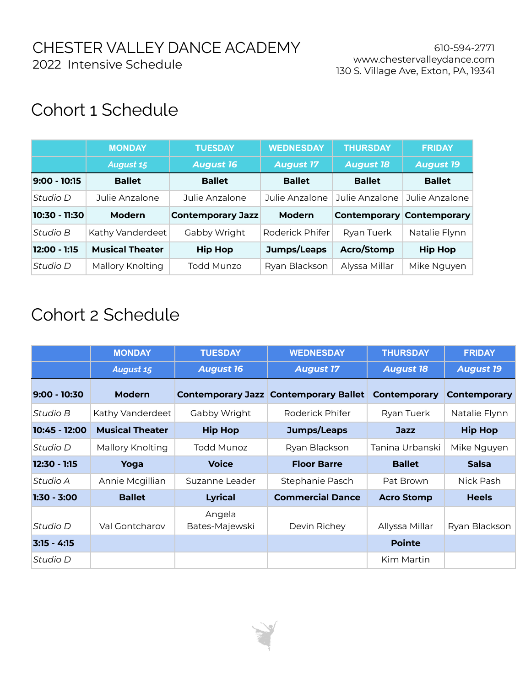## Cohort 1 Schedule

|               | <b>MONDAY</b>          | <b>TUESDAY</b>           | <b>WEDNESDAY</b> | <b>THURSDAY</b>  | <b>FRIDAY</b>                    |
|---------------|------------------------|--------------------------|------------------|------------------|----------------------------------|
|               | <b>August 15</b>       | <b>August 16</b>         | <b>August 17</b> | <b>August 18</b> | <b>August 19</b>                 |
| 9:00 - 10:15  | <b>Ballet</b>          | <b>Ballet</b>            | <b>Ballet</b>    | <b>Ballet</b>    | <b>Ballet</b>                    |
| Studio D      | Julie Anzalone         | Julie Anzalone           | Julie Anzalone   | Julie Anzalone   | Julie Anzalone                   |
| 10:30 - 11:30 | Modern                 |                          |                  |                  |                                  |
|               |                        | <b>Contemporary Jazz</b> | <b>Modern</b>    |                  | <b>Contemporary Contemporary</b> |
| Studio B      | Kathy Vanderdeet       | Gabby Wright             | Roderick Phifer  | Ryan Tuerk       | Natalie Flynn                    |
| 12:00 - 1:15  | <b>Musical Theater</b> | <b>Hip Hop</b>           | Jumps/Leaps      | Acro/Stomp       | <b>Hip Hop</b>                   |

## Cohort 2 Schedule

|                | <b>MONDAY</b>          | <b>TUESDAY</b>           | <b>WEDNESDAY</b>                             | <b>THURSDAY</b>     | <b>FRIDAY</b>       |
|----------------|------------------------|--------------------------|----------------------------------------------|---------------------|---------------------|
|                | <b>August 15</b>       | <b>August 16</b>         | <b>August 17</b>                             | <b>August 18</b>    | <b>August 19</b>    |
| $9:00 - 10:30$ | <b>Modern</b>          |                          | <b>Contemporary Jazz Contemporary Ballet</b> | <b>Contemporary</b> | <b>Contemporary</b> |
| Studio B       | Kathy Vanderdeet       | Gabby Wright             | Roderick Phifer                              | Ryan Tuerk          | Natalie Flynn       |
| 10:45 - 12:00  | <b>Musical Theater</b> | <b>Hip Hop</b>           | Jumps/Leaps                                  | <b>Jazz</b>         | <b>Hip Hop</b>      |
| Studio D       | Mallory Knolting       | Todd Munoz               | Ryan Blackson                                | Tanina Urbanski     | Mike Nguyen         |
| $12:30 - 1:15$ | Yoga                   | <b>Voice</b>             | <b>Floor Barre</b>                           | <b>Ballet</b>       | <b>Salsa</b>        |
| Studio A       | Annie Mcgillian        | Suzanne Leader           | Stephanie Pasch                              | Pat Brown           | Nick Pash           |
| $1:30 - 3:00$  | <b>Ballet</b>          | <b>Lyrical</b>           | <b>Commercial Dance</b>                      | <b>Acro Stomp</b>   | <b>Heels</b>        |
| Studio D       | Val Gontcharov         | Angela<br>Bates-Majewski | Devin Richey                                 | Allyssa Millar      | Ryan Blackson       |
| $3:15 - 4:15$  |                        |                          |                                              | <b>Pointe</b>       |                     |
| Studio D       |                        |                          |                                              | Kim Martin          |                     |